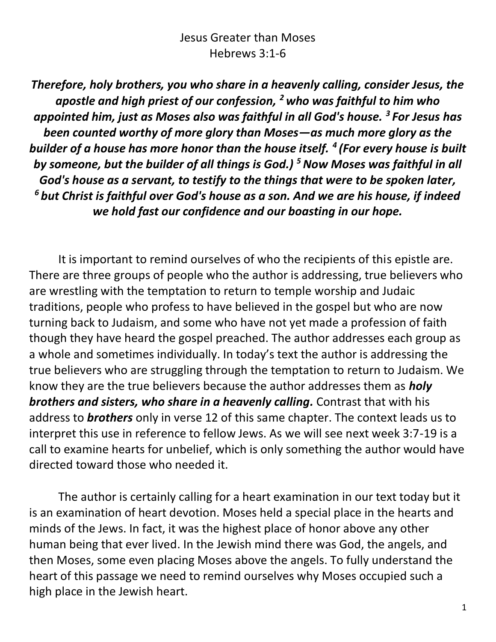### Jesus Greater than Moses Hebrews 3:1-6

*Therefore, holy brothers, you who share in a heavenly calling, consider Jesus, the apostle and high priest of our confession, <sup>2</sup> who was faithful to him who appointed him, just as Moses also was faithful in all God's house. <sup>3</sup> For Jesus has been counted worthy of more glory than Moses—as much more glory as the builder of a house has more honor than the house itself. <sup>4</sup> (For every house is built by someone, but the builder of all things is God.) <sup>5</sup>Now Moses was faithful in all God's house as a servant, to testify to the things that were to be spoken later, <sup>6</sup> but Christ is faithful over God's house as a son. And we are his house, if indeed we hold fast our confidence and our boasting in our hope.*

It is important to remind ourselves of who the recipients of this epistle are. There are three groups of people who the author is addressing, true believers who are wrestling with the temptation to return to temple worship and Judaic traditions, people who profess to have believed in the gospel but who are now turning back to Judaism, and some who have not yet made a profession of faith though they have heard the gospel preached. The author addresses each group as a whole and sometimes individually. In today's text the author is addressing the true believers who are struggling through the temptation to return to Judaism. We know they are the true believers because the author addresses them as *holy brothers and sisters, who share in a heavenly calling.* Contrast that with his address to *brothers* only in verse 12 of this same chapter. The context leads us to interpret this use in reference to fellow Jews. As we will see next week 3:7-19 is a call to examine hearts for unbelief, which is only something the author would have directed toward those who needed it.

The author is certainly calling for a heart examination in our text today but it is an examination of heart devotion. Moses held a special place in the hearts and minds of the Jews. In fact, it was the highest place of honor above any other human being that ever lived. In the Jewish mind there was God, the angels, and then Moses, some even placing Moses above the angels. To fully understand the heart of this passage we need to remind ourselves why Moses occupied such a high place in the Jewish heart.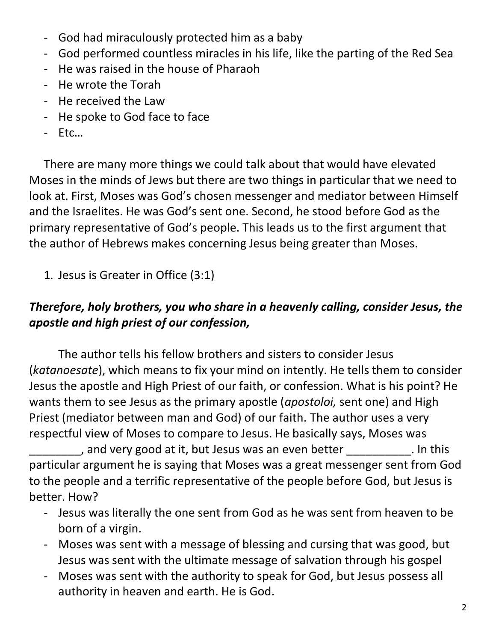- God had miraculously protected him as a baby
- God performed countless miracles in his life, like the parting of the Red Sea
- He was raised in the house of Pharaoh
- He wrote the Torah
- He received the Law
- He spoke to God face to face
- Etc…

There are many more things we could talk about that would have elevated Moses in the minds of Jews but there are two things in particular that we need to look at. First, Moses was God's chosen messenger and mediator between Himself and the Israelites. He was God's sent one. Second, he stood before God as the primary representative of God's people. This leads us to the first argument that the author of Hebrews makes concerning Jesus being greater than Moses.

1. Jesus is Greater in Office (3:1)

# *Therefore, holy brothers, you who share in a heavenly calling, consider Jesus, the apostle and high priest of our confession,*

The author tells his fellow brothers and sisters to consider Jesus (*katanoesate*), which means to fix your mind on intently. He tells them to consider Jesus the apostle and High Priest of our faith, or confession. What is his point? He wants them to see Jesus as the primary apostle (*apostoloi,* sent one) and High Priest (mediator between man and God) of our faith. The author uses a very respectful view of Moses to compare to Jesus. He basically says, Moses was

and very good at it, but Jesus was an even better \_\_\_\_\_\_\_\_\_\_\_. In this particular argument he is saying that Moses was a great messenger sent from God to the people and a terrific representative of the people before God, but Jesus is better. How?

- Jesus was literally the one sent from God as he was sent from heaven to be born of a virgin.
- Moses was sent with a message of blessing and cursing that was good, but Jesus was sent with the ultimate message of salvation through his gospel
- Moses was sent with the authority to speak for God, but Jesus possess all authority in heaven and earth. He is God.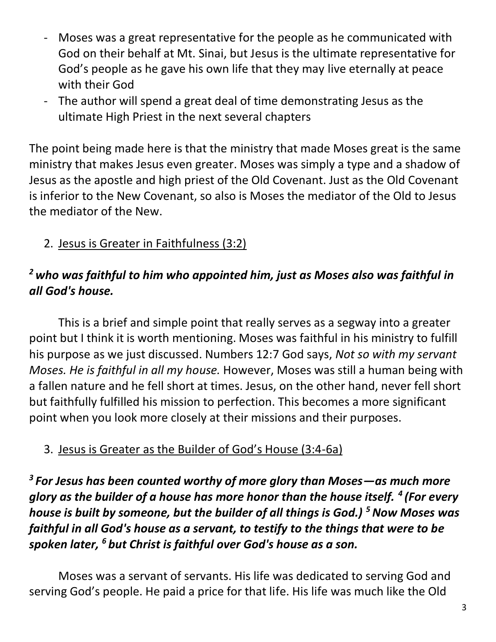- Moses was a great representative for the people as he communicated with God on their behalf at Mt. Sinai, but Jesus is the ultimate representative for God's people as he gave his own life that they may live eternally at peace with their God
- The author will spend a great deal of time demonstrating Jesus as the ultimate High Priest in the next several chapters

The point being made here is that the ministry that made Moses great is the same ministry that makes Jesus even greater. Moses was simply a type and a shadow of Jesus as the apostle and high priest of the Old Covenant. Just as the Old Covenant is inferior to the New Covenant, so also is Moses the mediator of the Old to Jesus the mediator of the New.

2. Jesus is Greater in Faithfulness (3:2)

## *<sup>2</sup> who was faithful to him who appointed him, just as Moses also was faithful in all God's house.*

This is a brief and simple point that really serves as a segway into a greater point but I think it is worth mentioning. Moses was faithful in his ministry to fulfill his purpose as we just discussed. Numbers 12:7 God says, *Not so with my servant Moses. He is faithful in all my house.* However, Moses was still a human being with a fallen nature and he fell short at times. Jesus, on the other hand, never fell short but faithfully fulfilled his mission to perfection. This becomes a more significant point when you look more closely at their missions and their purposes.

# 3. Jesus is Greater as the Builder of God's House (3:4-6a)

*3 For Jesus has been counted worthy of more glory than Moses—as much more glory as the builder of a house has more honor than the house itself. <sup>4</sup> (For every house is built by someone, but the builder of all things is God.) <sup>5</sup>Now Moses was faithful in all God's house as a servant, to testify to the things that were to be spoken later, <sup>6</sup> but Christ is faithful over God's house as a son.* 

Moses was a servant of servants. His life was dedicated to serving God and serving God's people. He paid a price for that life. His life was much like the Old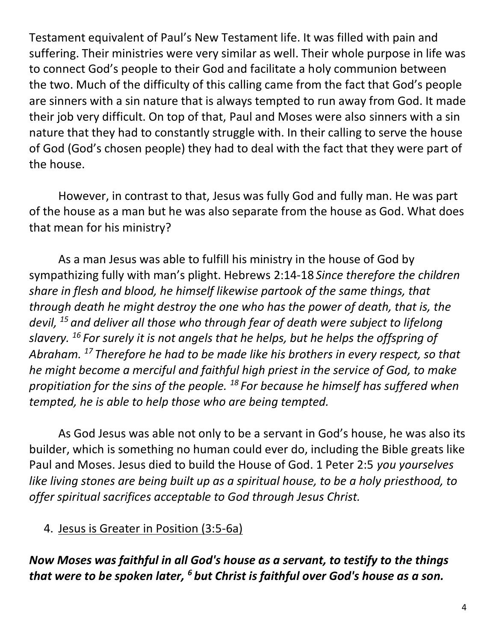Testament equivalent of Paul's New Testament life. It was filled with pain and suffering. Their ministries were very similar as well. Their whole purpose in life was to connect God's people to their God and facilitate a holy communion between the two. Much of the difficulty of this calling came from the fact that God's people are sinners with a sin nature that is always tempted to run away from God. It made their job very difficult. On top of that, Paul and Moses were also sinners with a sin nature that they had to constantly struggle with. In their calling to serve the house of God (God's chosen people) they had to deal with the fact that they were part of the house.

However, in contrast to that, Jesus was fully God and fully man. He was part of the house as a man but he was also separate from the house as God. What does that mean for his ministry?

As a man Jesus was able to fulfill his ministry in the house of God by sympathizing fully with man's plight. Hebrews 2:14-18 *Since therefore the children share in flesh and blood, he himself likewise partook of the same things, that through death he might destroy the one who has the power of death, that is, the devil, <sup>15</sup> and deliver all those who through fear of death were subject to lifelong slavery. <sup>16</sup> For surely it is not angels that he helps, but he helps the offspring of Abraham. <sup>17</sup> Therefore he had to be made like his brothers in every respect, so that he might become a merciful and faithful high priest in the service of God, to make propitiation for the sins of the people. <sup>18</sup> For because he himself has suffered when tempted, he is able to help those who are being tempted.*

As God Jesus was able not only to be a servant in God's house, he was also its builder, which is something no human could ever do, including the Bible greats like Paul and Moses. Jesus died to build the House of God. 1 Peter 2:5 *you yourselves like living stones are being built up as a spiritual house, to be a holy priesthood, to offer spiritual sacrifices acceptable to God through Jesus Christ.*

#### 4. Jesus is Greater in Position (3:5-6a)

*Now Moses was faithful in all God's house as a servant, to testify to the things that were to be spoken later, <sup>6</sup> but Christ is faithful over God's house as a son.*